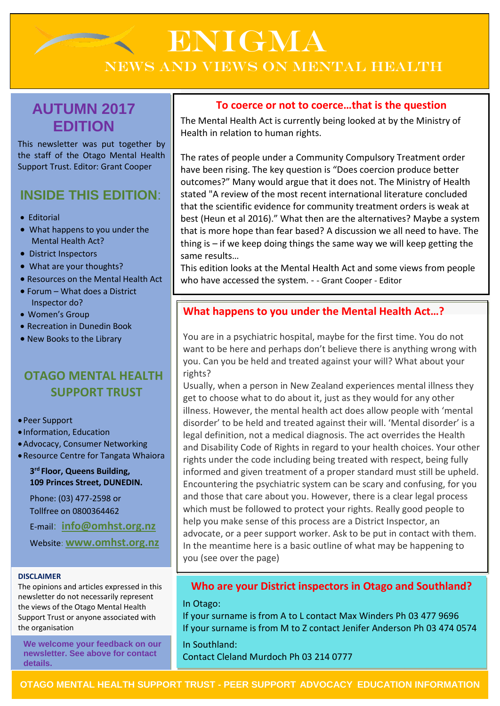# ENIGMA NEWS AND VIEWS ON MENTAL HEALTH

# **AUTUMN 2017 EDITION**

This newsletter was put together by the staff of the Otago Mental Health Support Trust. Editor: Grant Cooper

# **INSIDE THIS EDITION**:

- Editorial
- What happens to you under the Mental Health Act?
- District Inspectors
- What are your thoughts?
- Resources on the Mental Health Act
- Forum What does a District Inspector do?
- Women's Group
- Recreation in Dunedin Book
- New Books to the Library

# **OTAGO MENTAL HEALTH SUPPORT TRUST**

#### Peer Support

Information, Education

- Advocacy, Consumer Networking
- Resource Centre for Tangata Whaiora

#### **3 rd Floor, Queens Building, 109 Princes Street, DUNEDIN.**

Phone: (03) 477-2598 or Tollfree on 0800364462

E-mail: **[info@omhst.org.nz](mailto:info@omhst.org.nz)**

Website: **[www.omhst.org.nz](http://www.omhst.org.nz/)**

#### **DISCLAIMER**

The opinions and articles expressed in this newsletter do not necessarily represent the views of the Otago Mental Health Support Trust or anyone associated with the organisation

**We welcome your feedback on our newsletter. See above for contact details.**

#### **To coerce or not to coerce…that is the question**

The Mental Health Act is currently being looked at by the Ministry of Health in relation to human rights.

The rates of people under a Community Compulsory Treatment order have been rising. The key question is "Does coercion produce better outcomes?" Many would argue that it does not. The Ministry of Health stated "A review of the most recent international literature concluded that the scientific evidence for community treatment orders is weak at best (Heun et al 2016)." What then are the alternatives? Maybe a system that is more hope than fear based? A discussion we all need to have. The thing is – if we keep doing things the same way we will keep getting the same results…

This edition looks at the Mental Health Act and some views from people who have accessed the system. - - Grant Cooper - Editor

#### **What happens to you under the Mental Health Act…?**

You are in a psychiatric hospital, maybe for the first time. You do not want to be here and perhaps don't believe there is anything wrong with you. Can you be held and treated against your will? What about your rights?

Usually, when a person in New Zealand experiences mental illness they get to choose what to do about it, just as they would for any other illness. However, the mental health act does allow people with 'mental disorder' to be held and treated against their will. 'Mental disorder' is a legal definition, not a medical diagnosis. The act overrides the Health and Disability Code of Rights in regard to your health choices. Your other rights under the code including being treated with respect, being fully informed and given treatment of a proper standard must still be upheld. Encountering the psychiatric system can be scary and confusing, for you and those that care about you. However, there is a clear legal process which must be followed to protect your rights. Really good people to help you make sense of this process are a District Inspector, an advocate, or a peer support worker. Ask to be put in contact with them. In the meantime here is a basic outline of what may be happening to you (see over the page)

#### **Who are your District inspectors in Otago and Southland?**

In Otago:

If your surname is from A to L contact Max Winders Ph 03 477 9696 If your surname is from M to Z contact Jenifer Anderson Ph 03 474 0574

In Southland: Contact Cleland Murdoch Ph 03 214 0777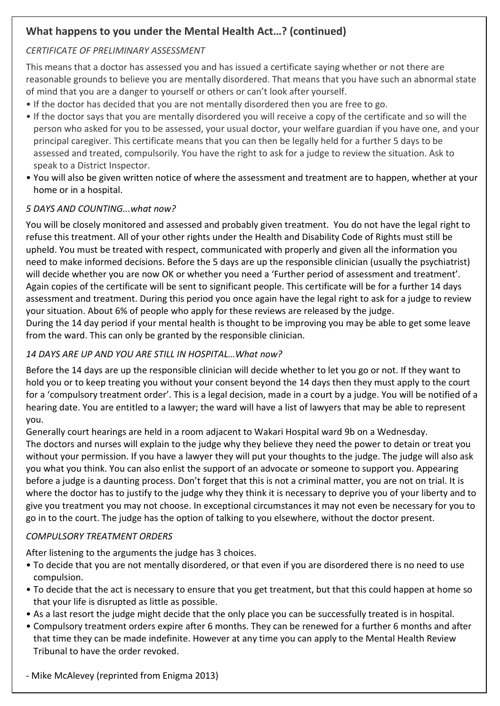## **What happens to you under the Mental Health Act…? (continued)**

#### *CERTIFICATE OF PRELIMINARY ASSESSMENT*

This means that a doctor has assessed you and has issued a certificate saying whether or not there are reasonable grounds to believe you are mentally disordered. That means that you have such an abnormal state of mind that you are a danger to yourself or others or can't look after yourself.

- If the doctor has decided that you are not mentally disordered then you are free to go.
- If the doctor says that you are mentally disordered you will receive a copy of the certificate and so will the person who asked for you to be assessed, your usual doctor, your welfare guardian if you have one, and your principal caregiver. This certificate means that you can then be legally held for a further 5 days to be assessed and treated, compulsorily. You have the right to ask for a judge to review the situation. Ask to speak to a District Inspector.
- You will also be given written notice of where the assessment and treatment are to happen, whether at your home or in a hospital.

#### *5 DAYS AND COUNTING...what now?*

You will be closely monitored and assessed and probably given treatment. You do not have the legal right to refuse this treatment. All of your other rights under the Health and Disability Code of Rights must still be upheld. You must be treated with respect, communicated with properly and given all the information you need to make informed decisions. Before the 5 days are up the responsible clinician (usually the psychiatrist) will decide whether you are now OK or whether you need a 'Further period of assessment and treatment'. Again copies of the certificate will be sent to significant people. This certificate will be for a further 14 days assessment and treatment. During this period you once again have the legal right to ask for a judge to review your situation. About 6% of people who apply for these reviews are released by the judge.

During the 14 day period if your mental health is thought to be improving you may be able to get some leave from the ward. This can only be granted by the responsible clinician.

#### *14 DAYS ARE UP AND YOU ARE STILL IN HOSPITAL…What now?*

Before the 14 days are up the responsible clinician will decide whether to let you go or not. If they want to hold you or to keep treating you without your consent beyond the 14 days then they must apply to the court for a 'compulsory treatment order'. This is a legal decision, made in a court by a judge. You will be notified of a hearing date. You are entitled to a lawyer; the ward will have a list of lawyers that may be able to represent you.

Generally court hearings are held in a room adjacent to Wakari Hospital ward 9b on a Wednesday. The doctors and nurses will explain to the judge why they believe they need the power to detain or treat you without your permission. If you have a lawyer they will put your thoughts to the judge. The judge will also ask you what you think. You can also enlist the support of an advocate or someone to support you. Appearing before a judge is a daunting process. Don't forget that this is not a criminal matter, you are not on trial. It is where the doctor has to justify to the judge why they think it is necessary to deprive you of your liberty and to give you treatment you may not choose. In exceptional circumstances it may not even be necessary for you to go in to the court. The judge has the option of talking to you elsewhere, without the doctor present.

#### *COMPULSORY TREATMENT ORDERS*

After listening to the arguments the judge has 3 choices.

- To decide that you are not mentally disordered, or that even if you are disordered there is no need to use compulsion.
- To decide that the act is necessary to ensure that you get treatment, but that this could happen at home so that your life is disrupted as little as possible.
- As a last resort the judge might decide that the only place you can be successfully treated is in hospital.
- Compulsory treatment orders expire after 6 months. They can be renewed for a further 6 months and after that time they can be made indefinite. However at any time you can apply to the Mental Health Review Tribunal to have the order revoked.
- Mike McAlevey (reprinted from Enigma 2013)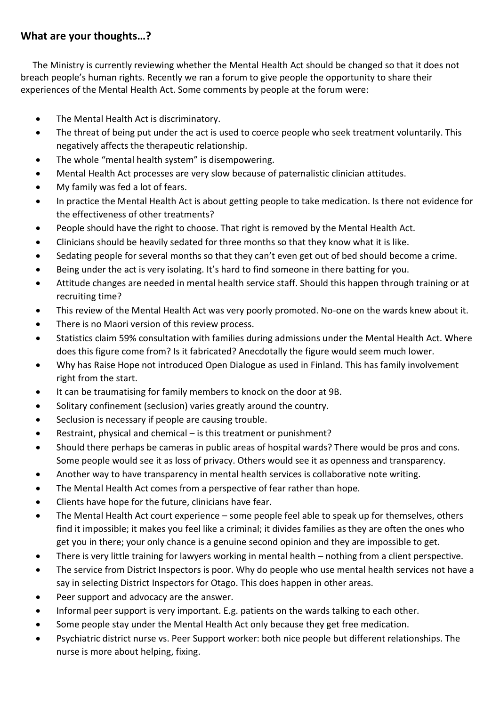#### **What are your thoughts…?**

The Ministry is currently reviewing whether the Mental Health Act should be changed so that it does not breach people's human rights. Recently we ran a forum to give people the opportunity to share their experiences of the Mental Health Act. Some comments by people at the forum were:

- The Mental Health Act is discriminatory.
- The threat of being put under the act is used to coerce people who seek treatment voluntarily. This negatively affects the therapeutic relationship.
- The whole "mental health system" is disempowering.
- Mental Health Act processes are very slow because of paternalistic clinician attitudes.
- My family was fed a lot of fears.
- In practice the Mental Health Act is about getting people to take medication. Is there not evidence for the effectiveness of other treatments?
- People should have the right to choose. That right is removed by the Mental Health Act.
- Clinicians should be heavily sedated for three months so that they know what it is like.
- Sedating people for several months so that they can't even get out of bed should become a crime.
- Being under the act is very isolating. It's hard to find someone in there batting for you.
- Attitude changes are needed in mental health service staff. Should this happen through training or at recruiting time?
- This review of the Mental Health Act was very poorly promoted. No-one on the wards knew about it.
- There is no Maori version of this review process.
- Statistics claim 59% consultation with families during admissions under the Mental Health Act. Where does this figure come from? Is it fabricated? Anecdotally the figure would seem much lower.
- Why has Raise Hope not introduced Open Dialogue as used in Finland. This has family involvement right from the start.
- It can be traumatising for family members to knock on the door at 9B.
- Solitary confinement (seclusion) varies greatly around the country.
- Seclusion is necessary if people are causing trouble.
- Restraint, physical and chemical is this treatment or punishment?
- Should there perhaps be cameras in public areas of hospital wards? There would be pros and cons. Some people would see it as loss of privacy. Others would see it as openness and transparency.
- Another way to have transparency in mental health services is collaborative note writing.
- The Mental Health Act comes from a perspective of fear rather than hope.
- Clients have hope for the future, clinicians have fear.
- The Mental Health Act court experience some people feel able to speak up for themselves, others find it impossible; it makes you feel like a criminal; it divides families as they are often the ones who get you in there; your only chance is a genuine second opinion and they are impossible to get.
- There is very little training for lawyers working in mental health nothing from a client perspective.
- The service from District Inspectors is poor. Why do people who use mental health services not have a say in selecting District Inspectors for Otago. This does happen in other areas.
- Peer support and advocacy are the answer.
- Informal peer support is very important. E.g. patients on the wards talking to each other.
- Some people stay under the Mental Health Act only because they get free medication.
- Psychiatric district nurse vs. Peer Support worker: both nice people but different relationships. The nurse is more about helping, fixing.